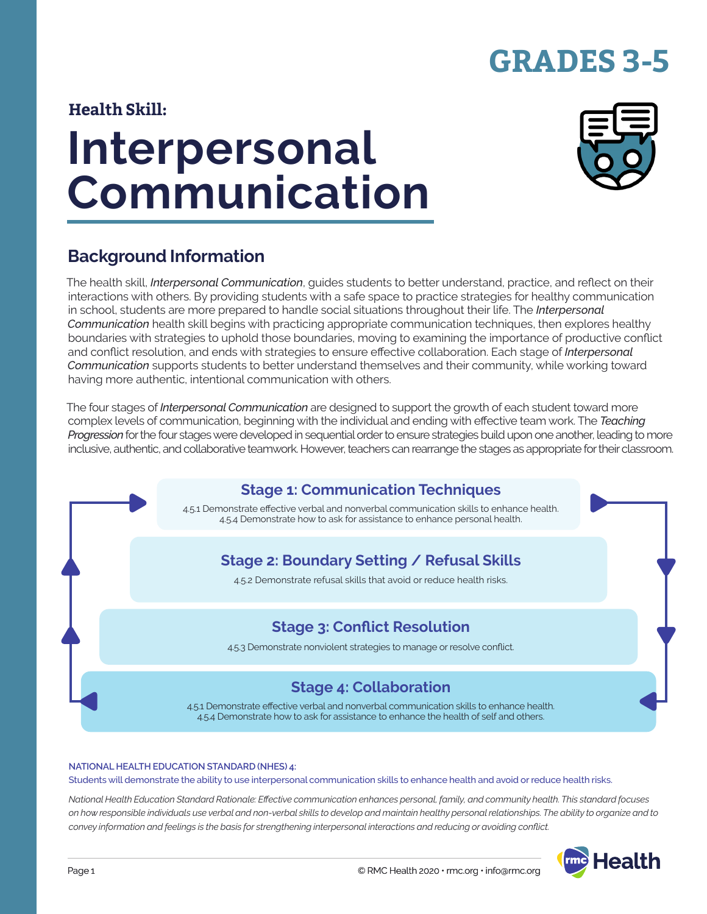# **GRADES 3-5**

#### **Health Skill:**

# **Interpersonal Communication**



## **Background Information**

The health skill, *Interpersonal Communication*, guides students to better understand, practice, and reflect on their interactions with others. By providing students with a safe space to practice strategies for healthy communication in school, students are more prepared to handle social situations throughout their life. The *Interpersonal Communication* health skill begins with practicing appropriate communication techniques, then explores healthy boundaries with strategies to uphold those boundaries, moving to examining the importance of productive conflict and conflict resolution, and ends with strategies to ensure effective collaboration. Each stage of *Interpersonal Communication* supports students to better understand themselves and their community, while working toward having more authentic, intentional communication with others.

The four stages of *Interpersonal Communication* are designed to support the growth of each student toward more complex levels of communication, beginning with the individual and ending with effective team work. The *Teaching Progression* for the four stages were developed in sequential order to ensure strategies build upon one another, leading to more inclusive, authentic, and collaborative teamwork. However, teachers can rearrange the stages as appropriate for their classroom.



#### **NATIONAL HEALTH EDUCATION STANDARD (NHES) 4:**

Students will demonstrate the ability to use interpersonal communication skills to enhance health and avoid or reduce health risks.

*National Health Education Standard Rationale: Effective communication enhances personal, family, and community health. This standard focuses on how responsible individuals use verbal and non-verbal skills to develop and maintain healthy personal relationships. The ability to organize and to convey information and feelings is the basis for strengthening interpersonal interactions and reducing or avoiding conflict.*

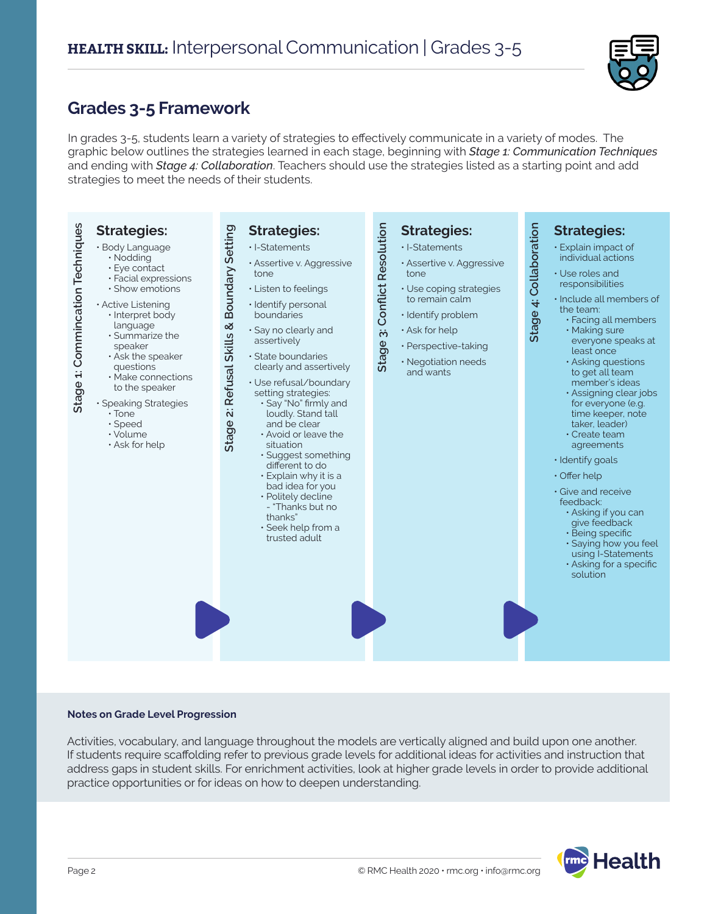

### **Grades 3-5 Framework**

In grades 3-5, students learn a variety of strategies to effectively communicate in a variety of modes. The graphic below outlines the strategies learned in each stage, beginning with *Stage 1: Communication Techniques* and ending with *Stage 4: Collaboration*. Teachers should use the strategies listed as a starting point and add strategies to meet the needs of their students.



#### **Notes on Grade Level Progression**

Activities, vocabulary, and language throughout the models are vertically aligned and build upon one another. If students require scaffolding refer to previous grade levels for additional ideas for activities and instruction that address gaps in student skills. For enrichment activities, look at higher grade levels in order to provide additional practice opportunities or for ideas on how to deepen understanding.

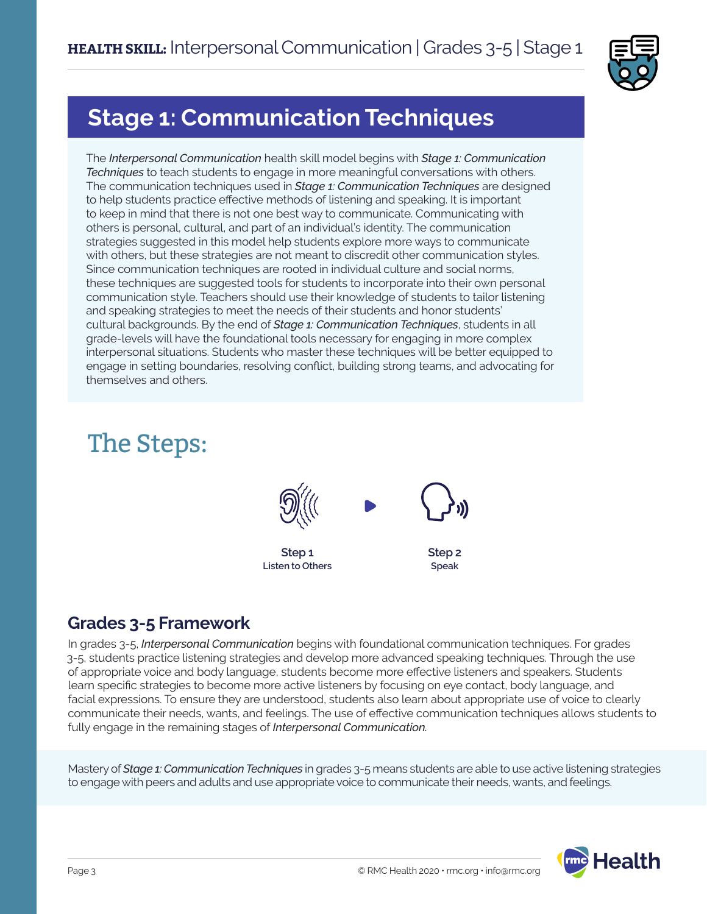

## **Stage 1: Communication Techniques**

The *Interpersonal Communication* health skill model begins with *Stage 1: Communication Techniques* to teach students to engage in more meaningful conversations with others. The communication techniques used in *Stage 1: Communication Techniques* are designed to help students practice effective methods of listening and speaking. It is important to keep in mind that there is not one best way to communicate. Communicating with others is personal, cultural, and part of an individual's identity. The communication strategies suggested in this model help students explore more ways to communicate with others, but these strategies are not meant to discredit other communication styles. Since communication techniques are rooted in individual culture and social norms, these techniques are suggested tools for students to incorporate into their own personal communication style. Teachers should use their knowledge of students to tailor listening and speaking strategies to meet the needs of their students and honor students' cultural backgrounds. By the end of *Stage 1: Communication Techniques*, students in all grade-levels will have the foundational tools necessary for engaging in more complex interpersonal situations. Students who master these techniques will be better equipped to engage in setting boundaries, resolving conflict, building strong teams, and advocating for themselves and others.

# The Steps:



## **Grades 3-5 Framework**

In grades 3-5, *Interpersonal Communication* begins with foundational communication techniques. For grades 3-5, students practice listening strategies and develop more advanced speaking techniques. Through the use of appropriate voice and body language, students become more effective listeners and speakers. Students learn specific strategies to become more active listeners by focusing on eye contact, body language, and facial expressions. To ensure they are understood, students also learn about appropriate use of voice to clearly communicate their needs, wants, and feelings. The use of effective communication techniques allows students to fully engage in the remaining stages of *Interpersonal Communication.*

Mastery of *Stage 1: Communication Techniques* in grades 3-5 means students are able to use active listening strategies to engage with peers and adults and use appropriate voice to communicate their needs, wants, and feelings.

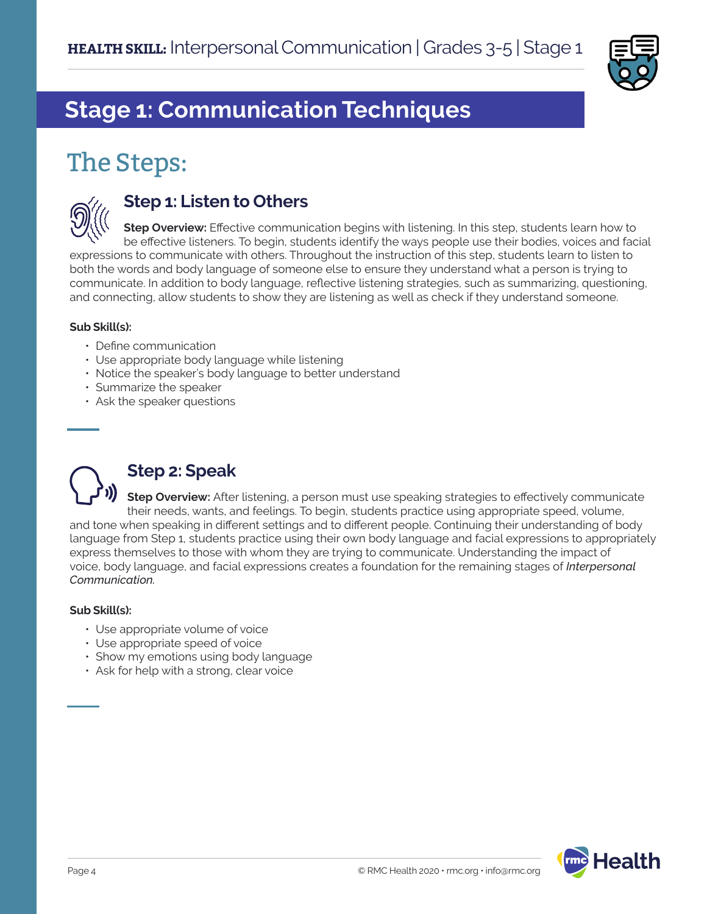

# **Stage 1: Communication Techniques**

# The Steps:



#### **Step 1: Listen to Others**

**Step Overview:** Effective communication begins with listening. In this step, students learn how to be effective listeners. To begin, students identify the ways people use their bodies, voices and facial expressions to communicate with others. Throughout the instruction of this step, students learn to listen to both the words and body language of someone else to ensure they understand what a person is trying to communicate. In addition to body language, reflective listening strategies, such as summarizing, questioning, and connecting, allow students to show they are listening as well as check if they understand someone.

#### **Sub Skill(s):**

- Define communication
- Use appropriate body language while listening
- Notice the speaker's body language to better understand
- Summarize the speaker
- Ask the speaker questions



## **Step 2: Speak**

**Step Overview:** After listening, a person must use speaking strategies to effectively communicate their needs, wants, and feelings. To begin, students practice using appropriate speed, volume, and tone when speaking in different settings and to different people. Continuing their understanding of body language from Step 1, students practice using their own body language and facial expressions to appropriately express themselves to those with whom they are trying to communicate. Understanding the impact of voice, body language, and facial expressions creates a foundation for the remaining stages of *Interpersonal Communication.* 

#### **Sub Skill(s):**

- Use appropriate volume of voice
- Use appropriate speed of voice
- Show my emotions using body language
- Ask for help with a strong, clear voice